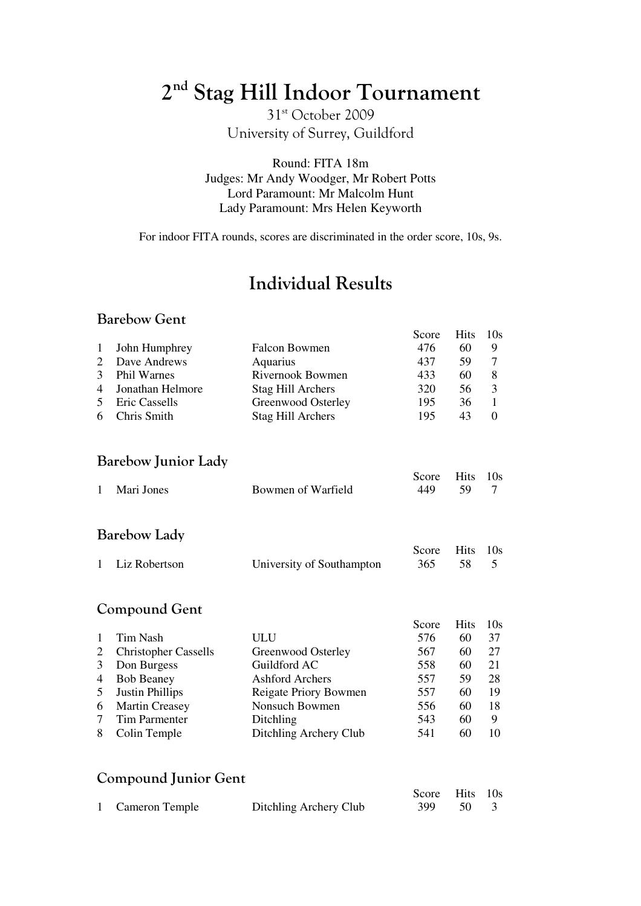# 2<sup>nd</sup> Stag Hill Indoor Tournament

31st October 2009 University of Surrey, Guildford

Round: FITA 18m Judges: Mr Andy Woodger, Mr Robert Potts Lord Paramount: Mr Malcolm Hunt Lady Paramount: Mrs Helen Keyworth

For indoor FITA rounds, scores are discriminated in the order score, 10s, 9s.

## Individual Results

#### Barebow Gent

|                |                    |                      | Score | Hits 10s |  |
|----------------|--------------------|----------------------|-------|----------|--|
|                | 1 John Humphrey    | <b>Falcon Bowmen</b> | 476   | 60       |  |
| 2              | Dave Andrews       | Aquarius             | 437   | 59       |  |
| 3              | <b>Phil Warnes</b> | Rivernook Bowmen     | 433   | 60       |  |
|                | 4 Jonathan Helmore | Stag Hill Archers    | 320   | 56       |  |
| 5 <sup>5</sup> | Eric Cassells      | Greenwood Osterley   | 195   | 36       |  |
|                | 6 Chris Smith      | Stag Hill Archers    | 195   | 43       |  |

#### Barebow Junior Lady

|              |                    | Score Hits 10s |  |
|--------------|--------------------|----------------|--|
| 1 Mari Jones | Bowmen of Warfield | 449 59 7       |  |
|              |                    |                |  |

#### Barebow Lady

|                 |                           | Score Hits 10s |  |
|-----------------|---------------------------|----------------|--|
| 1 Liz Robertson | University of Southampton | 365 58 5       |  |

#### Compound Gent

|                |                             |                        | Score | <b>Hits</b> | 10s |
|----------------|-----------------------------|------------------------|-------|-------------|-----|
|                | Tim Nash                    | ULU                    | 576   | 60          | 37  |
| 2              | <b>Christopher Cassells</b> | Greenwood Osterley     | 567   | 60          | 27  |
| 3              | Don Burgess                 | Guildford AC           | 558   | 60          | 21  |
| $\overline{4}$ | <b>Bob Beaney</b>           | Ashford Archers        | 557   | 59          | 28  |
| 5              | <b>Justin Phillips</b>      | Reigate Priory Bowmen  | 557   | 60          | 19  |
| 6              | <b>Martin Creasey</b>       | Nonsuch Bowmen         | 556   | 60          | 18  |
|                | <b>Tim Parmenter</b>        | Ditchling              | 543   | 60          | 9   |
| 8              | Colin Temple                | Ditchling Archery Club | 541   | 60          | 10  |
|                |                             |                        |       |             |     |

### Compound Junior Gent

|                  |                        | Score Hits 10s |  |
|------------------|------------------------|----------------|--|
| 1 Cameron Temple | Ditchling Archery Club | 399 50 3       |  |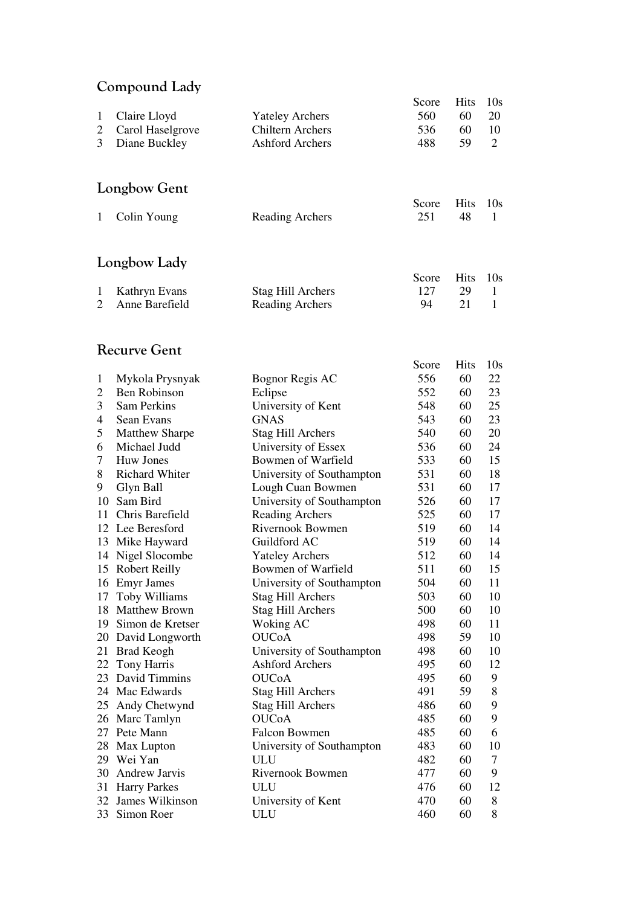### Compound Lady

|                |                       |                           | Score | <b>Hits</b> | 10 <sub>s</sub> |
|----------------|-----------------------|---------------------------|-------|-------------|-----------------|
| $\mathbf{1}$   | Claire Lloyd          | <b>Yateley Archers</b>    | 560   | 60          | 20              |
| $\overline{c}$ | Carol Haselgrove      | <b>Chiltern Archers</b>   | 536   | 60          | 10              |
| 3              | Diane Buckley         | <b>Ashford Archers</b>    | 488   | 59          | $\overline{2}$  |
|                |                       |                           |       |             |                 |
|                |                       |                           |       |             |                 |
|                | Longbow Gent          |                           |       |             |                 |
|                |                       |                           |       |             |                 |
|                |                       |                           | Score | <b>Hits</b> | 10 <sub>s</sub> |
| 1              | Colin Young           | <b>Reading Archers</b>    | 251   | 48          | $\mathbf{1}$    |
|                |                       |                           |       |             |                 |
|                |                       |                           |       |             |                 |
|                | Longbow Lady          |                           |       |             |                 |
|                |                       |                           | Score | <b>Hits</b> | 10 <sub>s</sub> |
| 1              | Kathryn Evans         | <b>Stag Hill Archers</b>  | 127   | 29          | 1               |
| 2              | Anne Barefield        | <b>Reading Archers</b>    | 94    | 21          | $\mathbf{1}$    |
|                |                       |                           |       |             |                 |
|                |                       |                           |       |             |                 |
|                | <b>Recurve Gent</b>   |                           |       |             |                 |
|                |                       |                           | Score | <b>Hits</b> | 10 <sub>s</sub> |
| $\mathbf 1$    | Mykola Prysnyak       | Bognor Regis AC           | 556   | 60          | 22              |
| 2              | <b>Ben Robinson</b>   | Eclipse                   | 552   | 60          | 23              |
| 3              | Sam Perkins           | University of Kent        | 548   | 60          | 25              |
| 4              | Sean Evans            | <b>GNAS</b>               | 543   | 60          | 23              |
| 5              | <b>Matthew Sharpe</b> | <b>Stag Hill Archers</b>  | 540   | 60          | 20              |
| 6              | Michael Judd          | University of Essex       | 536   | 60          | 24              |
| 7              | <b>Huw Jones</b>      | Bowmen of Warfield        | 533   | 60          | 15              |
| 8              | <b>Richard Whiter</b> | University of Southampton | 531   | 60          | 18              |
| 9              | Glyn Ball             | Lough Cuan Bowmen         | 531   | 60          | 17              |
| 10             | Sam Bird              | University of Southampton | 526   | 60          | 17              |
| 11             | Chris Barefield       | <b>Reading Archers</b>    | 525   | 60          | 17              |
|                | 12 Lee Beresford      | Rivernook Bowmen          | 519   | 60          | 14              |
| 13             | Mike Hayward          | Guildford AC              | 519   | 60          | 14              |
| 14             | Nigel Slocombe        | <b>Yateley Archers</b>    | 512   | 60          | 14              |
|                | 15 Robert Reilly      | Bowmen of Warfield        | 511   | 60          | 15              |
|                | 16 Emyr James         | University of Southampton | 504   | 60          | 11              |
| 17             | Toby Williams         | <b>Stag Hill Archers</b>  | 503   | 60          | 10              |
| 18             | <b>Matthew Brown</b>  | <b>Stag Hill Archers</b>  | 500   | 60          | 10              |
|                | 19 Simon de Kretser   | Woking AC                 | 498   | 60          | 11              |
|                |                       | <b>OUCOA</b>              | 498   | 59          |                 |
|                | 20 David Longworth    |                           |       |             | 10              |
|                | 21 Brad Keogh         | University of Southampton | 498   | 60          | 10              |
|                | 22 Tony Harris        | <b>Ashford Archers</b>    | 495   | 60          | 12              |
| 23             | David Timmins         | <b>OUCoA</b>              | 495   | 60          | 9               |
|                | 24 Mac Edwards        | <b>Stag Hill Archers</b>  | 491   | 59          | 8               |
| 25             | Andy Chetwynd         | <b>Stag Hill Archers</b>  | 486   | 60          | 9               |
|                | 26 Marc Tamlyn        | <b>OUCOA</b>              | 485   | 60          | 9               |
| 27             | Pete Mann             | <b>Falcon Bowmen</b>      | 485   | 60          | 6               |
|                | 28 Max Lupton         | University of Southampton | 483   | 60          | 10              |
|                | 29 Wei Yan            | ULU                       | 482   | 60          | 7               |
| 30             | <b>Andrew Jarvis</b>  | Rivernook Bowmen          | 477   | 60          | 9               |
| 31             | <b>Harry Parkes</b>   | ULU                       | 476   | 60          | 12              |
| 32             | James Wilkinson       | University of Kent        | 470   | 60          | 8               |
| 33             | Simon Roer            | ULU                       | 460   | 60          | 8               |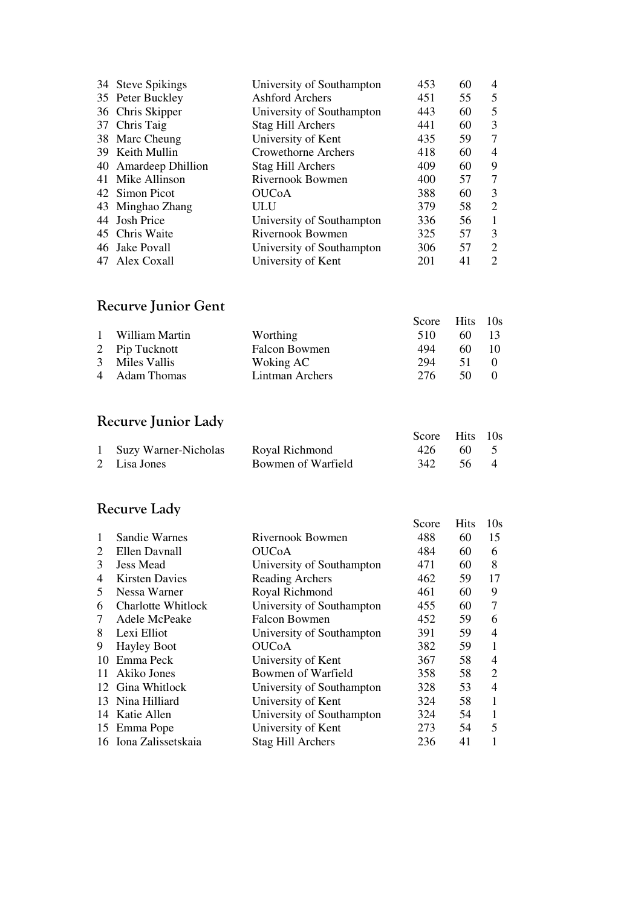| 34 Steve Spikings    | University of Southampton | 453 | 60 | 4                           |
|----------------------|---------------------------|-----|----|-----------------------------|
| 35 Peter Buckley     | Ashford Archers           | 451 | 55 | 5                           |
| 36 Chris Skipper     | University of Southampton | 443 | 60 | 5                           |
| 37 Chris Taig        | Stag Hill Archers         | 441 | 60 | 3                           |
| 38 Marc Cheung       | University of Kent        | 435 | 59 | 7                           |
| 39 Keith Mullin      | Crowethorne Archers       | 418 | 60 | $\overline{4}$              |
| 40 Amardeep Dhillion | Stag Hill Archers         | 409 | 60 | 9                           |
| 41 Mike Allinson     | Rivernook Bowmen          | 400 | 57 | 7                           |
| 42 Simon Picot       | <b>OUCoA</b>              | 388 | 60 | 3                           |
| 43 Minghao Zhang     | ULU                       | 379 | 58 | 2                           |
| 44 Josh Price        | University of Southampton | 336 | 56 | 1                           |
| 45 Chris Waite       | Rivernook Bowmen          | 325 | 57 | 3                           |
| 46 Jake Povall       | University of Southampton | 306 | 57 | 2                           |
| 47 Alex Coxall       | University of Kent        | 201 | 41 | $\mathcal{D}_{\mathcal{L}}$ |

### Recurve Junior Gent

|                  |                      | Score Hits 10s |    |                 |
|------------------|----------------------|----------------|----|-----------------|
| 1 William Martin | Worthing             | 510            | 60 | $\overline{13}$ |
| 2 Pip Tucknott   | <b>Falcon Bowmen</b> | 494            | 60 | $\sim$ 10       |
| 3 Miles Vallis   | Woking AC            | 294            | 51 |                 |
| 4 Adam Thomas    | Lintman Archers      | 276            | 50 |                 |
|                  |                      |                |    |                 |

### Recurve Junior Lady

|                        |                    | Score Hits 10s |      |  |
|------------------------|--------------------|----------------|------|--|
| 1 Suzy Warner-Nicholas | Royal Richmond     | 426            | 60 5 |  |
| 2 Lisa Jones           | Bowmen of Warfield | 342 56 4       |      |  |

### Recurve Lady

|              |                       |                           | Score | <b>Hits</b> | 10s            |
|--------------|-----------------------|---------------------------|-------|-------------|----------------|
| $\mathbf{1}$ | Sandie Warnes         | Rivernook Bowmen          | 488   | 60          | 15             |
| 2            | Ellen Davnall         | <b>OUC0A</b>              | 484   | 60          | 6              |
| 3            | <b>Jess Mead</b>      | University of Southampton | 471   | 60          | 8              |
| 4            | <b>Kirsten Davies</b> | Reading Archers           | 462   | 59          | 17             |
| 5            | Nessa Warner          | Royal Richmond            | 461   | 60          | 9              |
| 6            | Charlotte Whitlock    | University of Southampton | 455   | 60          | 7              |
| 7            | Adele McPeake         | Falcon Bowmen             | 452   | 59          | 6              |
| 8            | Lexi Elliot           | University of Southampton | 391   | 59          | 4              |
| 9            | <b>Hayley Boot</b>    | <b>OUC<sub>O</sub></b>    | 382   | 59          | 1              |
| 10           | Emma Peck             | University of Kent        | 367   | 58          | 4              |
| 11           | Akiko Jones           | Bowmen of Warfield        | 358   | 58          | $\overline{2}$ |
|              | 12 Gina Whitlock      | University of Southampton | 328   | 53          | $\overline{4}$ |
|              | 13 Nina Hilliard      | University of Kent        | 324   | 58          | 1              |
| 14           | Katie Allen           | University of Southampton | 324   | 54          | 1              |
| 15           | Emma Pope             | University of Kent        | 273   | 54          | 5              |
|              | 16 Iona Zalissetskaia | <b>Stag Hill Archers</b>  | 236   | 41          |                |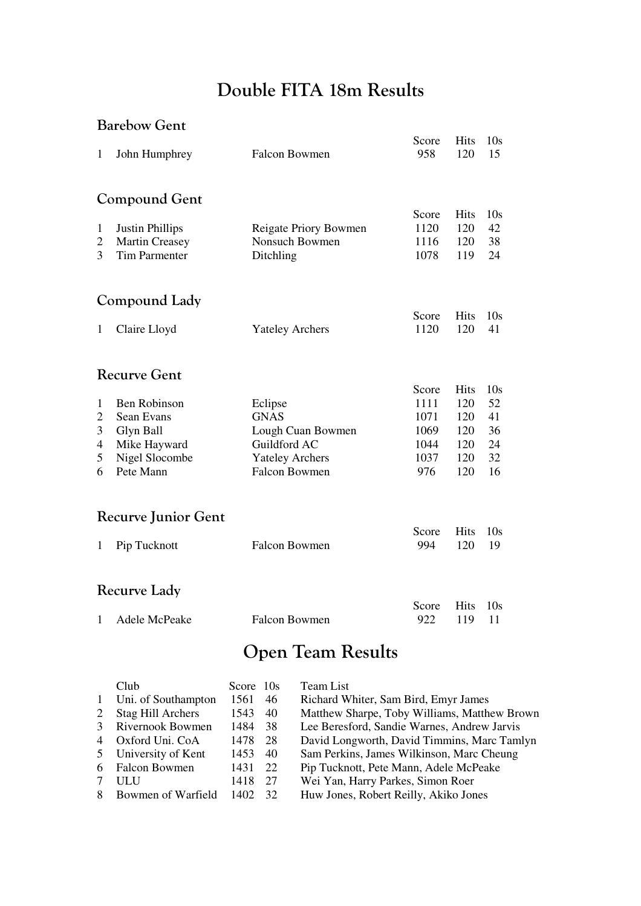## Double FITA 18m Results

### Barebow Gent

| $\mathbf{1}$   | John Humphrey               | <b>Falcon Bowmen</b>                           | Score<br>958 | <b>Hits</b><br>120 | 10 <sub>s</sub><br>15 |  |  |  |  |  |
|----------------|-----------------------------|------------------------------------------------|--------------|--------------------|-----------------------|--|--|--|--|--|
|                | <b>Compound Gent</b>        |                                                |              |                    |                       |  |  |  |  |  |
|                |                             |                                                | Score        | <b>Hits</b>        | 10 <sub>s</sub>       |  |  |  |  |  |
| $\mathbf{1}$   | <b>Justin Phillips</b>      | Reigate Priory Bowmen                          | 1120         | 120                | 42                    |  |  |  |  |  |
| $\overline{2}$ | <b>Martin Creasey</b>       | Nonsuch Bowmen                                 | 1116         | 120                | 38                    |  |  |  |  |  |
| 3              | <b>Tim Parmenter</b>        | Ditchling                                      | 1078         | 119                | 24                    |  |  |  |  |  |
|                | Compound Lady               |                                                |              |                    |                       |  |  |  |  |  |
|                |                             |                                                | Score        | <b>Hits</b>        | 10 <sub>s</sub>       |  |  |  |  |  |
| $\mathbf{1}$   | Claire Lloyd                | <b>Yateley Archers</b>                         | 1120         | 120                | 41                    |  |  |  |  |  |
|                | <b>Recurve Gent</b>         |                                                |              |                    |                       |  |  |  |  |  |
|                |                             |                                                | Score        | <b>Hits</b>        | 10 <sub>s</sub>       |  |  |  |  |  |
| $\mathbf{1}$   | <b>Ben Robinson</b>         | Eclipse                                        | 1111         | 120                | 52                    |  |  |  |  |  |
| $\overline{2}$ | Sean Evans                  | <b>GNAS</b>                                    | 1071         | 120                | 41                    |  |  |  |  |  |
| 3              | Glyn Ball                   | Lough Cuan Bowmen                              | 1069         | 120                | 36                    |  |  |  |  |  |
| $\overline{4}$ | Mike Hayward                | Guildford AC                                   | 1044         | 120                | 24                    |  |  |  |  |  |
| 5              | Nigel Slocombe<br>Pete Mann | <b>Yateley Archers</b><br><b>Falcon Bowmen</b> | 1037         | 120                | 32                    |  |  |  |  |  |
| 6              |                             |                                                | 976          | 120                | 16                    |  |  |  |  |  |
|                | <b>Recurve Junior Gent</b>  |                                                |              |                    |                       |  |  |  |  |  |
|                |                             |                                                | Score        | <b>Hits</b>        | 10 <sub>s</sub>       |  |  |  |  |  |
| 1              | Pip Tucknott                | <b>Falcon Bowmen</b>                           | 994          | 120                | 19                    |  |  |  |  |  |
|                | <b>Recurve Lady</b>         |                                                |              |                    |                       |  |  |  |  |  |
|                |                             |                                                | Score        | <b>Hits</b>        | 10 <sub>s</sub>       |  |  |  |  |  |
| 1              | Adele McPeake               | <b>Falcon Bowmen</b>                           | 922          | 119                | 11                    |  |  |  |  |  |

# Open Team Results

|                | Club                     | Score 10s |     | <b>Team List</b>                             |
|----------------|--------------------------|-----------|-----|----------------------------------------------|
| $\mathbf{1}$   | Uni. of Southampton      | 1561      | 46  | Richard Whiter, Sam Bird, Emyr James         |
| 2              | <b>Stag Hill Archers</b> | 1543      | 40  | Matthew Sharpe, Toby Williams, Matthew Brown |
| 3              | Rivernook Bowmen         | 1484      | -38 | Lee Beresford, Sandie Warnes, Andrew Jarvis  |
| $\overline{4}$ | Oxford Uni. CoA          | 1478      | 28  | David Longworth, David Timmins, Marc Tamlyn  |
|                | 5 University of Kent     | 1453      | 40  | Sam Perkins, James Wilkinson, Marc Cheung    |
| 6              | <b>Falcon Bowmen</b>     | 1431      | 22  | Pip Tucknott, Pete Mann, Adele McPeake       |
|                | ULU                      | 1418      | 27  | Wei Yan, Harry Parkes, Simon Roer            |
| 8              | Bowmen of Warfield       | 1402      | 32  | Huw Jones, Robert Reilly, Akiko Jones        |